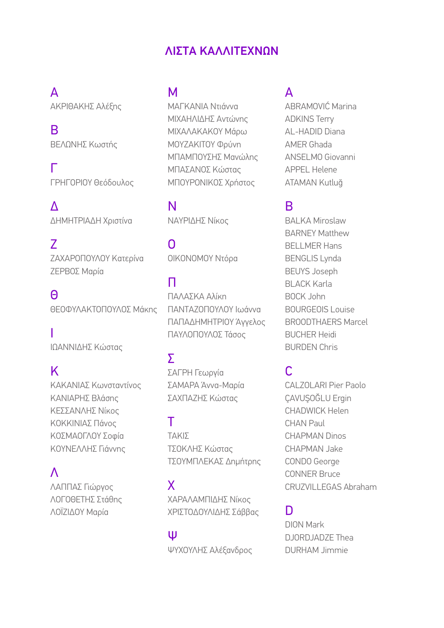### ΛΙΣΤΑ ΚΑΛΛΙΤΕΧΝΩΝ

## Α

ΑΚΡΙΘΑΚΗΣ Αλέξης

Β ΒΕΛΩΝΗΣ Κωστής

Γ ΓΡΗΓΟΡΙΟΥ Θεόδουλος

Δ ΔΗΜΗΤΡΙΑΔΗ Χριστίνα

Ζ ΖΑΧΑΡΟΠΟΥΛΟΥ Κατερίνα ΖΕΡΒΟΣ Μαρία

Θ ΘΕΟΦΥΛΑΚΤΟΠΟΥΛΟΣ Μάκης

Ι ΙΩΑΝΝΙΔΗΣ Κώστας

# Κ

ΚΑΚΑΝΙΑΣ Κωνσταντίνος ΚΑΝΙΑΡΗΣ Βλάσης ΚΕΣΣΑΝΛΗΣ Νίκος ΚΟΚΚΙΝΙΑΣ Πάνος ΚΟΣΜΑΟΓΛΟΥ Σοφία ΚΟΥΝΕΛΛΗΣ Γιάννης

### Λ

ΛΑΠΠΑΣ Γιώργος ΛΟΓΟΘΕΤΗΣ Στάθης ΛΟΪΖΙΔΟΥ Μαρία

### Μ

ΜΑΓΚΑΝΙΑ Ντιάννα ΜΙΧΑΗΛΙΔΗΣ Αντώνης ΜΙΧΑΛΑΚΑΚΟΥ Μάρω ΜΟΥΖΑΚΙΤΟΥ Φρύνη ΜΠΑΜΠΟΥΣΗΣ Μανώλης ΜΠΑΣΑΝΟΣ Κώστας ΜΠΟΥΡΟΝΙΚΟΣ Χρήστος

Ν ΝΑΥΡΙΔΗΣ Νίκος

Ο ΟΙΚΟΝΟΜΟΥ Ντόρα

## Π

ΠΑΛΑΣΚΑ Αλίκη ΠΑΝΤΑΖΟΠΟΥΛΟΥ Ιωάννα ΠΑΠΑΔΗΜΗΤΡΙΟΥ Άγγελος ΠΑΥΛΟΠΟΥΛΟΣ Τάσος

## Σ

ΣΑΓΡΗ Γεωργία ΣΑΜΑΡΑ Άννα-Μαρία ΣΑΧΠΑΖΗΣ Κώστας

### Τ

ΤΑΚΙΣ ΤΣΟΚΛΗΣ Κώστας ΤΣΟΥΜΠΛΕΚΑΣ Δημήτρης

### Χ

ΧΑΡΑΛΑΜΠΙΔΗΣ Νίκος ΧΡΙΣΤΟΔΟΥΛΙΔΗΣ Σάββας

#### Ψ

ΨΥΧΟΥΛΗΣ Αλέξανδρος

### A

ABRAMOVIĆ Marina ADKINS Terry AL-HADID Diana AMER Ghada ANSELMO Giovanni APPEL Helene ATAMAN Kutluğ

### B

BALKA Miroslaw BARNEY Matthew BELLMER Hans BENGLIS Lynda BEUYS Joseph BLACK Karla BOCK John BOURGEOIS Louise BROODTHAERS Marcel BUCHER Heidi BURDEN Chris

## C

CALZOLARI Pier Paolo ÇAVUŞOĞLU Ergin CHADWICK Helen CHAN Paul CHAPMAN Dinos CHAPMAN Jake CONDO George CONNER Bruce CRUZVILLEGAS Abraham

## D

DION Mark DJORDJADZE Thea DURHAM Jimmie